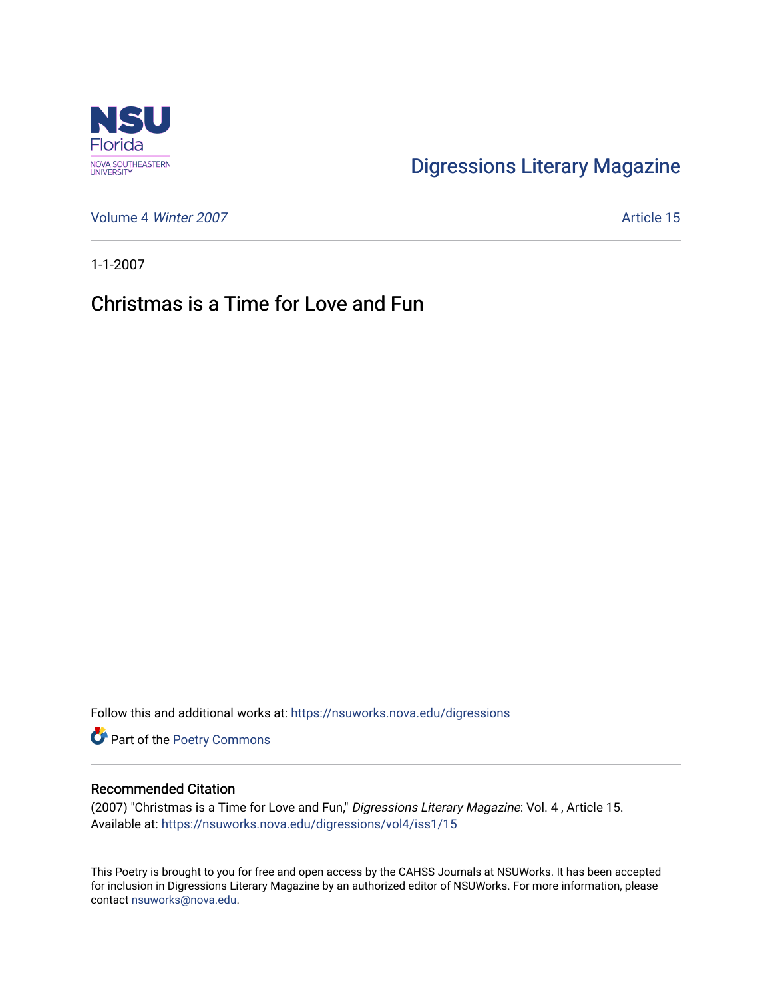

## [Digressions Literary Magazine](https://nsuworks.nova.edu/digressions)

[Volume 4](https://nsuworks.nova.edu/digressions/vol4) Winter 2007 **Article 15** 

1-1-2007

## Christmas is a Time for Love and Fun

Follow this and additional works at: [https://nsuworks.nova.edu/digressions](https://nsuworks.nova.edu/digressions?utm_source=nsuworks.nova.edu%2Fdigressions%2Fvol4%2Fiss1%2F15&utm_medium=PDF&utm_campaign=PDFCoverPages) 

Part of the [Poetry Commons](http://network.bepress.com/hgg/discipline/1153?utm_source=nsuworks.nova.edu%2Fdigressions%2Fvol4%2Fiss1%2F15&utm_medium=PDF&utm_campaign=PDFCoverPages) 

## Recommended Citation

(2007) "Christmas is a Time for Love and Fun," Digressions Literary Magazine: Vol. 4 , Article 15. Available at: [https://nsuworks.nova.edu/digressions/vol4/iss1/15](https://nsuworks.nova.edu/digressions/vol4/iss1/15?utm_source=nsuworks.nova.edu%2Fdigressions%2Fvol4%2Fiss1%2F15&utm_medium=PDF&utm_campaign=PDFCoverPages) 

This Poetry is brought to you for free and open access by the CAHSS Journals at NSUWorks. It has been accepted for inclusion in Digressions Literary Magazine by an authorized editor of NSUWorks. For more information, please contact [nsuworks@nova.edu.](mailto:nsuworks@nova.edu)